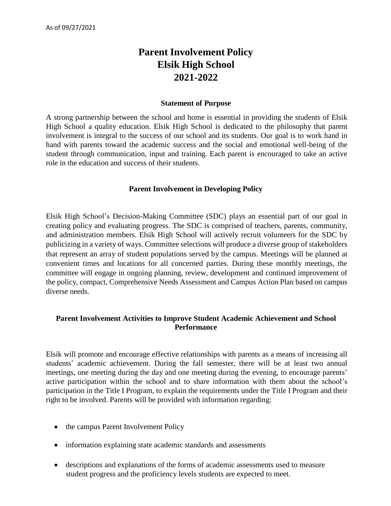# **Parent Involvement Policy Elsik High School 2021-2022**

#### **Statement of Purpose**

A strong partnership between the school and home is essential in providing the students of Elsik High School a quality education. Elsik High School is dedicated to the philosophy that parent involvement is integral to the success of our school and its students. Our goal is to work hand in hand with parents toward the academic success and the social and emotional well-being of the student through communication, input and training. Each parent is encouraged to take an active role in the education and success of their students.

#### **Parent Involvement in Developing Policy**

Elsik High School's Decision-Making Committee (SDC) plays an essential part of our goal in creating policy and evaluating progress. The SDC is comprised of teachers, parents, community, and administration members. Elsik High School will actively recruit volunteers for the SDC by publicizing in a variety of ways. Committee selections will produce a diverse group of stakeholders that represent an array of student populations served by the campus. Meetings will be planned at convenient times and locations for all concerned parties. During these monthly meetings, the committee will engage in ongoing planning, review, development and continued improvement of the policy, compact, Comprehensive Needs Assessment and Campus Action Plan based on campus diverse needs.

## **Parent Involvement Activities to Improve Student Academic Achievement and School Performance**

Elsik will promote and encourage effective relationships with parents as a means of increasing all students' academic achievement. During the fall semester, there will be at least two annual meetings, one meeting during the day and one meeting during the evening, to encourage parents' active participation within the school and to share information with them about the school's participation in the Title I Program, to explain the requirements under the Title I Program and their right to be involved. Parents will be provided with information regarding:

- the campus Parent Involvement Policy
- information explaining state academic standards and assessments
- descriptions and explanations of the forms of academic assessments used to measure student progress and the proficiency levels students are expected to meet.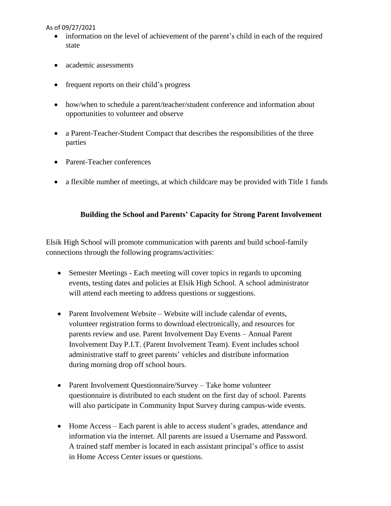As of 09/27/2021

- information on the level of achievement of the parent's child in each of the required state
- academic assessments
- frequent reports on their child's progress
- how/when to schedule a parent/teacher/student conference and information about opportunities to volunteer and observe
- a Parent-Teacher-Student Compact that describes the responsibilities of the three parties
- Parent-Teacher conferences
- a flexible number of meetings, at which childcare may be provided with Title 1 funds

## **Building the School and Parents' Capacity for Strong Parent Involvement**

Elsik High School will promote communication with parents and build school-family connections through the following programs/activities:

- Semester Meetings Each meeting will cover topics in regards to upcoming events, testing dates and policies at Elsik High School. A school administrator will attend each meeting to address questions or suggestions.
- Parent Involvement Website Website will include calendar of events, volunteer registration forms to download electronically, and resources for parents review and use. Parent Involvement Day Events – Annual Parent Involvement Day P.I.T. (Parent Involvement Team). Event includes school administrative staff to greet parents' vehicles and distribute information during morning drop off school hours.
- Parent Involvement Questionnaire/Survey Take home volunteer questionnaire is distributed to each student on the first day of school. Parents will also participate in Community Input Survey during campus-wide events.
- Home Access Each parent is able to access student's grades, attendance and information via the internet. All parents are issued a Username and Password. A trained staff member is located in each assistant principal's office to assist in Home Access Center issues or questions.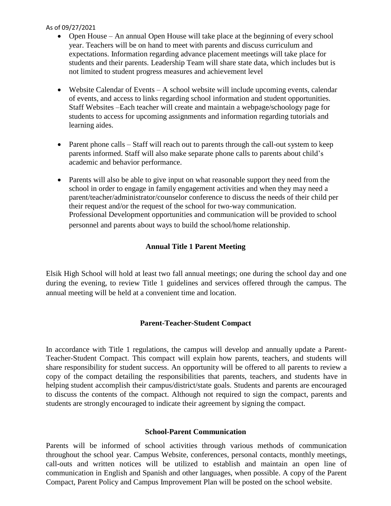#### As of 09/27/2021

- Open House An annual Open House will take place at the beginning of every school year. Teachers will be on hand to meet with parents and discuss curriculum and expectations. Information regarding advance placement meetings will take place for students and their parents. Leadership Team will share state data, which includes but is not limited to student progress measures and achievement level
- Website Calendar of Events A school website will include upcoming events, calendar of events, and access to links regarding school information and student opportunities. Staff Websites –Each teacher will create and maintain a webpage/schoology page for students to access for upcoming assignments and information regarding tutorials and learning aides.
- Parent phone calls Staff will reach out to parents through the call-out system to keep parents informed. Staff will also make separate phone calls to parents about child's academic and behavior performance.
- Parents will also be able to give input on what reasonable support they need from the school in order to engage in family engagement activities and when they may need a parent/teacher/administrator/counselor conference to discuss the needs of their child per their request and/or the request of the school for two-way communication. Professional Development opportunities and communication will be provided to school personnel and parents about ways to build the school/home relationship.

# **Annual Title 1 Parent Meeting**

Elsik High School will hold at least two fall annual meetings; one during the school day and one during the evening, to review Title 1 guidelines and services offered through the campus. The annual meeting will be held at a convenient time and location.

# **Parent-Teacher-Student Compact**

In accordance with Title 1 regulations, the campus will develop and annually update a Parent-Teacher-Student Compact. This compact will explain how parents, teachers, and students will share responsibility for student success. An opportunity will be offered to all parents to review a copy of the compact detailing the responsibilities that parents, teachers, and students have in helping student accomplish their campus/district/state goals. Students and parents are encouraged to discuss the contents of the compact. Although not required to sign the compact, parents and students are strongly encouraged to indicate their agreement by signing the compact.

# **School-Parent Communication**

Parents will be informed of school activities through various methods of communication throughout the school year. Campus Website, conferences, personal contacts, monthly meetings, call-outs and written notices will be utilized to establish and maintain an open line of communication in English and Spanish and other languages, when possible. A copy of the Parent Compact, Parent Policy and Campus Improvement Plan will be posted on the school website.